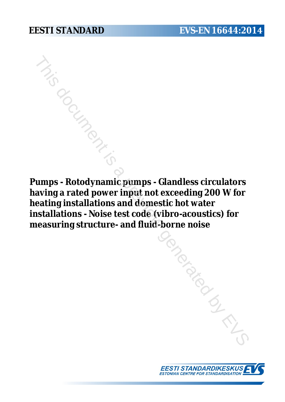**Pumps - Rotodynamic pumps - Glandless circulators having a rated power input not exceeding 200 W for heating installations and domestic hot water installations - Noise test code (vibro-acoustics) for measuring structure- and fluid-borne noise** January Contraction

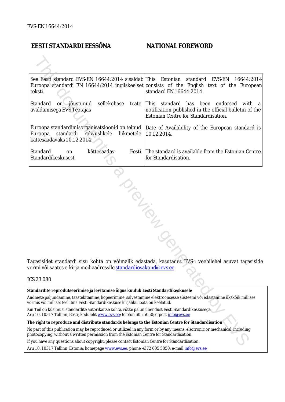# **EESTI STANDARDI EESSÕNA NATIONAL FOREWORD**

|                                                                                                                                                                                                                        | See Eesti standard EVS-EN 16644:2014 sisaldab This Estonian<br>teksti.                                                             | standard<br>EVS-EN<br>16644:2014<br>Euroopa standardi EN 16644:2014 ingliskeelset consists of the English text of the European<br>standard EN 16644:2014. |  |  |
|------------------------------------------------------------------------------------------------------------------------------------------------------------------------------------------------------------------------|------------------------------------------------------------------------------------------------------------------------------------|-----------------------------------------------------------------------------------------------------------------------------------------------------------|--|--|
|                                                                                                                                                                                                                        | on jõustunud<br>sellekohase<br>Standard<br>avaldamisega EVS Teatajas                                                               | teate This standard has been<br>endorsed with a<br>notification published in the official bulletin of the<br>Estonian Centre for Standardisation.         |  |  |
|                                                                                                                                                                                                                        | Euroopa standardimisorganisatsioonid on teinud<br>Euroopa<br>standardi<br>rahvuslikele<br>liikmetele<br>kättesaadavaks 10.12.2014. | Date of Availability of the European standard is<br>10.12.2014.                                                                                           |  |  |
|                                                                                                                                                                                                                        | Standard<br>kättesaadav<br>Eesti  <br>on<br>Standardikeskusest.                                                                    | The standard is available from the Estonian Centre<br>for Standardisation.                                                                                |  |  |
| Tagasisidet standardi sisu kohta on võimalik edastada, kasutades EVS-i veebilehel asuvat tagasiside<br>vormi või saates e-kirja meiliaadressile <u>standardiosakond@evs.ee</u> .<br>ICS 23.080                         |                                                                                                                                    |                                                                                                                                                           |  |  |
|                                                                                                                                                                                                                        |                                                                                                                                    |                                                                                                                                                           |  |  |
| Standardite reprodutseerimise ja levitamise õigus kuulub Eesti Standardikeskusele<br>Andmete paljundamine, taastekitamine, kopeerimine, salvestamine elektroonsesse süsteemi või edastamine ükskõik millises           |                                                                                                                                    |                                                                                                                                                           |  |  |
| vormis või millisel teel ilma Eesti Standardikeskuse kirjaliku loata on keelatud.                                                                                                                                      |                                                                                                                                    |                                                                                                                                                           |  |  |
| Kui Teil on küsimusi standardite autorikaitse kohta, võtke palun ühendust Eesti Standardikeskusega:<br>Aru 10, 10317 Tallinn, Eesti; koduleht www.evs.ee; telefon 605 5050; e-post info@evs.ee                         |                                                                                                                                    |                                                                                                                                                           |  |  |
| The right to reproduce and distribute standards belongs to the Estonian Centre for Standardisation                                                                                                                     |                                                                                                                                    |                                                                                                                                                           |  |  |
| No part of this publication may be reproduced or utilized in any form or by any means, electronic or mechanical, including<br>photocopying, without a written permission from the Estonian Centre for Standardisation. |                                                                                                                                    |                                                                                                                                                           |  |  |
| If you have any questions about copyright, please contact Estonian Centre for Standardisation:                                                                                                                         |                                                                                                                                    |                                                                                                                                                           |  |  |
|                                                                                                                                                                                                                        |                                                                                                                                    |                                                                                                                                                           |  |  |

#### ICS 23.080

Aru 10, 10317 Tallinn, Estonia; homepage [www.evs.ee](http://www.evs.ee/); phone +372 605 5050; e-mail info@evs.ee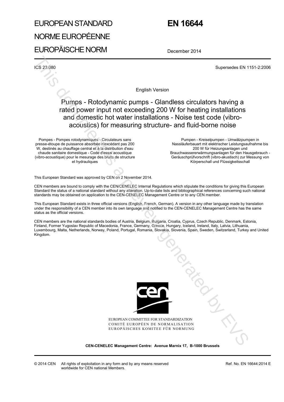# EUROPEAN STANDARD NORME EUROPÉENNE

EUROPÄISCHE NORM

# **EN 16644**

December 2014

ICS 23.080 Supersedes EN 1151-2:2006

English Version

# Pumps - Rotodynamic pumps - Glandless circulators having a rated power input not exceeding 200 W for heating installations and domestic hot water installations - Noise test code (vibroacoustics) for measuring structure- and fluid-borne noise

Pompes - Pompes rotodynamiques - Circulateurs sans presse-étoupe de puissance absorbée n'excédant pas 200 W, destinés au chauffage central et à la distribution d'eau chaude sanitaire domestique - Code d'essai acoustique (vibro-acoustique) pour le mesurage des bruits de structure et hydrauliques

 Pumpen - Kreiselpumpen - Umwälzpumpen in Nassläuferbauart mit elektrischer Leistungsaufnahme bis 200 W für Heizungsanlagen und Brauchwassererwärmungsanlagen für den Hausgebrauch - Geräuschprüfvorschrift (vibro-akustisch) zur Messung von Körperschall und Flüssigkeitsschall

This European Standard was approved by CEN on 2 November 2014.

CEN members are bound to comply with the CEN/CENELEC Internal Regulations which stipulate the conditions for giving this European Standard the status of a national standard without any alteration. Up-to-date lists and bibliographical references concerning such national standards may be obtained on application to the CEN-CENELEC Management Centre or to any CEN member.

This European Standard exists in three official versions (English, French, German). A version in any other language made by translation under the responsibility of a CEN member into its own language and notified to the CEN-CENELEC Management Centre has the same status as the official versions.

CEN members are the national standards bodies of Austria, Belgium, Bulgaria, Croatia, Cyprus, Czech Republic, Denmark, Estonia, Finland, Former Yugoslav Republic of Macedonia, France, Germany, Greece, Hungary, Iceland, Ireland, Italy, Latvia, Lithuania, Luxembourg, Malta, Netherlands, Norway, Poland, Portugal, Romania, Slovakia, Slovenia, Spain, Sweden, Switzerland, Turkey and United Kingdom.



EUROPEAN COMMITTEE FOR STANDARDIZATION COMITÉ EUROPÉEN DE NORMALISATION EUROPÄISCHES KOMITEE FÜR NORMUNG January Contractor

**CEN-CENELEC Management Centre: Avenue Marnix 17, B-1000 Brussels**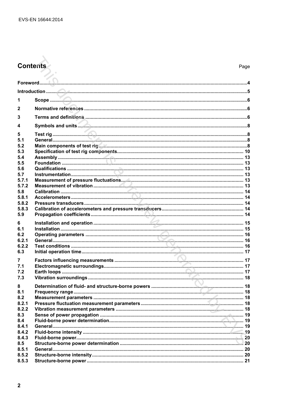# Contents

| 1<br>$\mathbf{2}$<br>3<br>4<br>5<br>5.1<br>5.2<br>5.3<br>5.4<br>5.5<br>5.6<br>5.7<br>5.7.1<br>5.7.2<br>5.8<br>5.8.1<br>5.8.2<br>5,8,3<br>5.9<br>6<br>6.1<br>6.2<br>6.2.1<br>6.2.2<br>6.3<br>7<br>7.1<br>7.2<br>7.3<br>8<br>8.1<br>Frequency range<br>8.2<br>8.2.1<br>8.2.2<br>8.3<br>8.4<br>8.4.1<br>8.4.2<br>8.4.3<br>8.5<br>8.5.1 |       |  |  |  |  |  |
|-------------------------------------------------------------------------------------------------------------------------------------------------------------------------------------------------------------------------------------------------------------------------------------------------------------------------------------|-------|--|--|--|--|--|
|                                                                                                                                                                                                                                                                                                                                     |       |  |  |  |  |  |
|                                                                                                                                                                                                                                                                                                                                     |       |  |  |  |  |  |
|                                                                                                                                                                                                                                                                                                                                     |       |  |  |  |  |  |
|                                                                                                                                                                                                                                                                                                                                     |       |  |  |  |  |  |
|                                                                                                                                                                                                                                                                                                                                     |       |  |  |  |  |  |
|                                                                                                                                                                                                                                                                                                                                     |       |  |  |  |  |  |
|                                                                                                                                                                                                                                                                                                                                     |       |  |  |  |  |  |
|                                                                                                                                                                                                                                                                                                                                     |       |  |  |  |  |  |
|                                                                                                                                                                                                                                                                                                                                     |       |  |  |  |  |  |
|                                                                                                                                                                                                                                                                                                                                     |       |  |  |  |  |  |
|                                                                                                                                                                                                                                                                                                                                     |       |  |  |  |  |  |
|                                                                                                                                                                                                                                                                                                                                     |       |  |  |  |  |  |
|                                                                                                                                                                                                                                                                                                                                     |       |  |  |  |  |  |
|                                                                                                                                                                                                                                                                                                                                     |       |  |  |  |  |  |
| 8.5.3                                                                                                                                                                                                                                                                                                                               | 8.5.2 |  |  |  |  |  |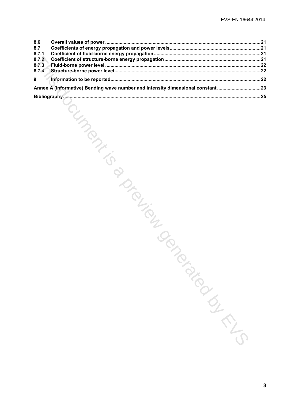| 8.6            |                                                                                |  |
|----------------|--------------------------------------------------------------------------------|--|
| 8.7            |                                                                                |  |
| 8.7.1          |                                                                                |  |
| 8.7.2          |                                                                                |  |
| 8.7.3<br>8.7.4 |                                                                                |  |
|                |                                                                                |  |
| 9              |                                                                                |  |
|                | Annex A (informative) Bending wave number and intensity dimensional constant23 |  |
|                |                                                                                |  |
|                | CIMBOS<br>ISIDED TONION<br>Paidways                                            |  |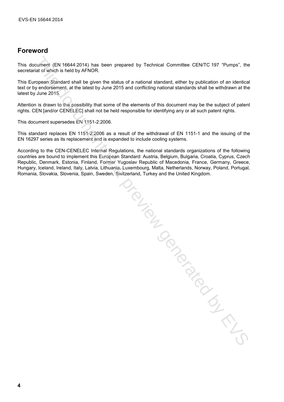# **Foreword**

This document (EN 16644:2014) has been prepared by Technical Committee CEN/TC 197 "Pumps", the secretariat of which is held by AFNOR.

This European Standard shall be given the status of a national standard, either by publication of an identical text or by endorsement, at the latest by June 2015 and conflicting national standards shall be withdrawn at the latest by June 2015.

Attention is drawn to the possibility that some of the elements of this document may be the subject of patent rights. CEN [and/or CENELEC] shall not be held responsible for identifying any or all such patent rights.

This document supersedes EN 1151-2:2006.

This standard replaces EN 1151-2:2006 as a result of the withdrawal of EN 1151-1 and the issuing of the EN 16297 series as its replacement and is expanded to include cooling systems.

According to the CEN-CENELEC Internal Regulations, the national standards organizations of the following countries are bound to implement this European Standard: Austria, Belgium, Bulgaria, Croatia, Cyprus, Czech Republic, Denmark, Estonia, Finland, Former Yugoslav Republic of Macedonia, France, Germany, Greece, Hungary, Iceland, Ireland, Italy, Latvia, Lithuania, Luxembourg, Malta, Netherlands, Norway, Poland, Portugal, Romania, Slovakia, Slovenia, Spain, Sweden, Switzerland, Turkey and the United Kingdom.

siem der der Registration der Registration der Registration der Registration der Registration der Registration der Registration der Registration der Registration der Registration der Registration der Registration der Regis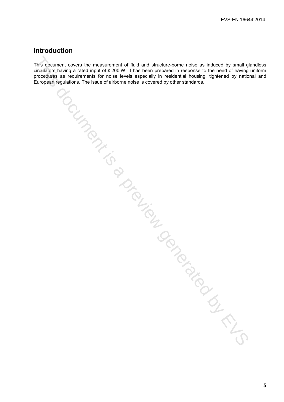# **Introduction**

This document covers the measurement of fluid and structure-borne noise as induced by small glandless circulators having a rated input of ≤ 200 W. It has been prepared in response to the need of having uniform procedures as requirements for noise levels especially in residential housing, tightened by national and European regulations. The issue of airborne noise is covered by other standards. This document covers the measurement of fluid and structure-borne noise as induced by small gli<br>circulations having a related input of z200 W. It has been prepared in measurement of the viring concerned by control and the